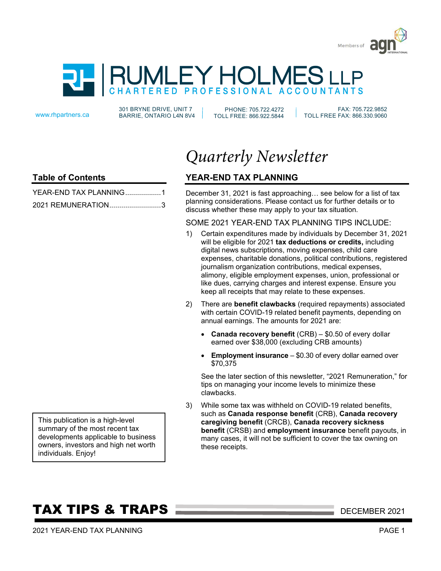



301 BRYNE DRIVE, UNIT 7 www.rhpartners.ca BARRIE, ONTARIO L4N 8V4

PHONE: 705.722.4272 TOLL FREE: 866.922.5844

 FAX: 705.722.9852 TOLL FREE FAX: 866.330.9060

### **Table of Contents**

| YEAR-END TAX PLANNING1 |  |
|------------------------|--|
| 2021 REMUNERATION3     |  |

*Quarterly Newsletter*

### **YEAR-END TAX PLANNING**

December 31, 2021 is fast approaching… see below for a list of tax planning considerations. Please contact us for further details or to discuss whether these may apply to your tax situation.

### SOME 2021 YEAR-END TAX PLANNING TIPS INCLUDE:

- 1) Certain expenditures made by individuals by December 31, 2021 will be eligible for 2021 **tax deductions or credits,** including digital news subscriptions, moving expenses, child care expenses, charitable donations, political contributions, registered journalism organization contributions, medical expenses, alimony, eligible employment expenses, union, professional or like dues, carrying charges and interest expense. Ensure you keep all receipts that may relate to these expenses.
- 2) There are **benefit clawbacks** (required repayments) associated with certain COVID-19 related benefit payments, depending on annual earnings. The amounts for 2021 are:
	- **Canada recovery benefit** (CRB) \$0.50 of every dollar earned over \$38,000 (excluding CRB amounts)
	- **Employment insurance** \$0.30 of every dollar earned over \$70,375

See the later section of this newsletter, "2021 Remuneration," for tips on managing your income levels to minimize these clawbacks.

3) While some tax was withheld on COVID-19 related benefits, such as **Canada response benefit** (CRB), **Canada recovery caregiving benefit** (CRCB), **Canada recovery sickness benefit** (CRSB) and **employment insurance** benefit payouts, in many cases, it will not be sufficient to cover the tax owning on these receipts.

This publication is a high-level summary of the most recent tax developments applicable to business owners, investors and high net worth individuals. Enjoy!

# **TAX TIPS & TRAPS DECEMBER 2021**

2021 YEAR-END TAX PLANNING PAGE 1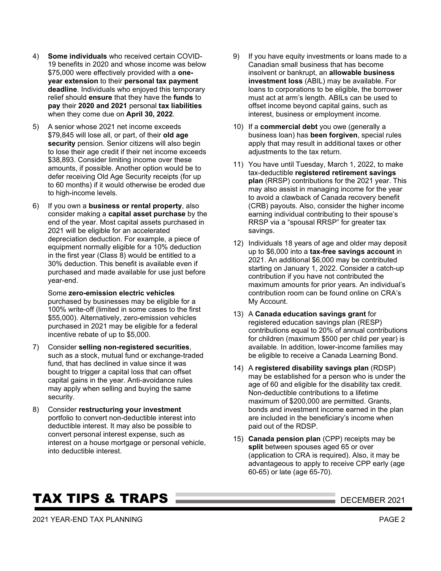- 4) **Some individuals** who received certain COVID-19 benefits in 2020 and whose income was below \$75,000 were effectively provided with a **oneyear extension** to their **personal tax payment deadline**. Individuals who enjoyed this temporary relief should **ensure** that they have the **funds** to **pay** their **2020 and 2021** personal **tax liabilities** when they come due on **April 30, 2022**.
- 5) A senior whose 2021 net income exceeds \$79,845 will lose all, or part, of their **old age security** pension. Senior citizens will also begin to lose their age credit if their net income exceeds \$38,893. Consider limiting income over these amounts, if possible. Another option would be to defer receiving Old Age Security receipts (for up to 60 months) if it would otherwise be eroded due to high-income levels.
- 6) If you own a **business or rental property**, also consider making a **capital asset purchase** by the end of the year. Most capital assets purchased in 2021 will be eligible for an accelerated depreciation deduction. For example, a piece of equipment normally eligible for a 10% deduction in the first year (Class 8) would be entitled to a 30% deduction. This benefit is available even if purchased and made available for use just before year-end.

Some **zero-emission electric vehicles** purchased by businesses may be eligible for a 100% write-off (limited in some cases to the first \$55,000). Alternatively, zero-emission vehicles purchased in 2021 may be eligible for a federal incentive rebate of up to \$5,000.

- 7) Consider **selling non-registered securities**, such as a stock, mutual fund or exchange-traded fund, that has declined in value since it was bought to trigger a capital loss that can offset capital gains in the year. Anti-avoidance rules may apply when selling and buying the same security.
- 8) Consider **restructuring your investment** portfolio to convert non-deductible interest into deductible interest. It may also be possible to convert personal interest expense, such as interest on a house mortgage or personal vehicle, into deductible interest.
- 9) If you have equity investments or loans made to a Canadian small business that has become insolvent or bankrupt, an **allowable business investment loss** (ABIL) may be available. For loans to corporations to be eligible, the borrower must act at arm's length. ABILs can be used to offset income beyond capital gains, such as interest, business or employment income.
- 10) If a **commercial debt** you owe (generally a business loan) has **been forgiven**, special rules apply that may result in additional taxes or other adjustments to the tax return.
- 11) You have until Tuesday, March 1, 2022, to make tax-deductible **registered retirement savings plan** (RRSP) contributions for the 2021 year. This may also assist in managing income for the year to avoid a clawback of Canada recovery benefit (CRB) payouts. Also, consider the higher income earning individual contributing to their spouse's RRSP via a "spousal RRSP" for greater tax savings.
- 12) Individuals 18 years of age and older may deposit up to \$6,000 into a **tax-free savings account** in 2021. An additional \$6,000 may be contributed starting on January 1, 2022. Consider a catch-up contribution if you have not contributed the maximum amounts for prior years. An individual's contribution room can be found online on CRA's My Account.
- 13) A **Canada education savings grant** for registered education savings plan (RESP) contributions equal to 20% of annual contributions for children (maximum \$500 per child per year) is available. In addition, lower-income families may be eligible to receive a Canada Learning Bond.
- 14) A **registered disability savings plan** (RDSP) may be established for a person who is under the age of 60 and eligible for the disability tax credit. Non-deductible contributions to a lifetime maximum of \$200,000 are permitted. Grants, bonds and investment income earned in the plan are included in the beneficiary's income when paid out of the RDSP.
- 15) **Canada pension plan** (CPP) receipts may be **split** between spouses aged 65 or over (application to CRA is required). Also, it may be advantageous to apply to receive CPP early (age 60-65) or late (age 65-70).

# **TAX TIPS & TRAPS DECEMBER 2021**

2021 YEAR-END TAX PLANNING PAGE 2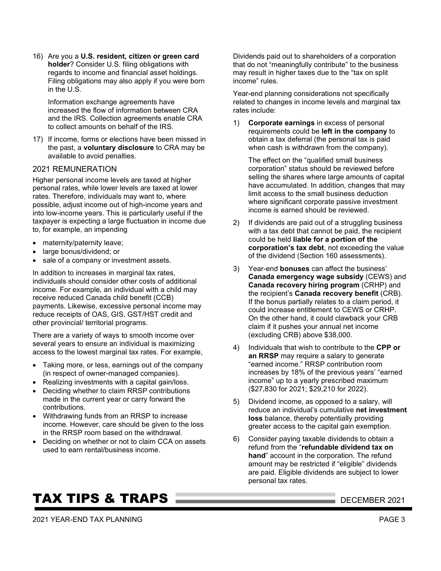16) Are you a **U.S. resident, citizen or green card holder**? Consider U.S. filing obligations with regards to income and financial asset holdings. Filing obligations may also apply if you were born in the U.S.

Information exchange agreements have increased the flow of information between CRA and the IRS. Collection agreements enable CRA to collect amounts on behalf of the IRS.

17) If income, forms or elections have been missed in the past, a **voluntary disclosure** to CRA may be available to avoid penalties.

#### 2021 REMUNERATION

Higher personal income levels are taxed at higher personal rates, while lower levels are taxed at lower rates. Therefore, individuals may want to, where possible, adjust income out of high-income years and into low-income years. This is particularly useful if the taxpayer is expecting a large fluctuation in income due to, for example, an impending

- maternity/paternity leave;
- large bonus/dividend; or
- sale of a company or investment assets.

In addition to increases in marginal tax rates, individuals should consider other costs of additional income. For example, an individual with a child may receive reduced Canada child benefit (CCB) payments. Likewise, excessive personal income may reduce receipts of OAS, GIS, GST/HST credit and other provincial/ territorial programs.

There are a variety of ways to smooth income over several years to ensure an individual is maximizing access to the lowest marginal tax rates. For example,

- Taking more, or less, earnings out of the company (in respect of owner-managed companies).
- Realizing investments with a capital gain/loss.
- Deciding whether to claim RRSP contributions made in the current year or carry forward the contributions.
- Withdrawing funds from an RRSP to increase income. However, care should be given to the loss in the RRSP room based on the withdrawal.
- Deciding on whether or not to claim CCA on assets used to earn rental/business income.

# **TAX TIPS & TRAPS DECEMBER 2021**

2021 YEAR-END TAX PLANNING PAGE 3

Dividends paid out to shareholders of a corporation that do not "meaningfully contribute" to the business may result in higher taxes due to the "tax on split income" rules.

Year-end planning considerations not specifically related to changes in income levels and marginal tax rates include:

1) **Corporate earnings** in excess of personal requirements could be **left in the company** to obtain a tax deferral (the personal tax is paid when cash is withdrawn from the company).

The effect on the "qualified small business corporation" status should be reviewed before selling the shares where large amounts of capital have accumulated. In addition, changes that may limit access to the small business deduction where significant corporate passive investment income is earned should be reviewed.

- 2) If dividends are paid out of a struggling business with a tax debt that cannot be paid, the recipient could be held **liable for a portion of the corporation's tax debt**, not exceeding the value of the dividend (Section 160 assessments).
- 3) Year-end **bonuses** can affect the business' **Canada emergency wage subsidy** (CEWS) and **Canada recovery hiring program** (CRHP) and the recipient's **Canada recovery benefit** (CRB). If the bonus partially relates to a claim period, it could increase entitlement to CEWS or CRHP. On the other hand, it could clawback your CRB claim if it pushes your annual net income (excluding CRB) above \$38,000.
- 4) Individuals that wish to contribute to the **CPP or an RRSP** may require a salary to generate "earned income." RRSP contribution room increases by 18% of the previous years' "earned income" up to a yearly prescribed maximum (\$27,830 for 2021; \$29,210 for 2022).
- 5) Dividend income, as opposed to a salary, will reduce an individual's cumulative **net investment loss** balance, thereby potentially providing greater access to the capital gain exemption.
- 6) Consider paying taxable dividends to obtain a refund from the "**refundable dividend tax on hand**" account in the corporation. The refund amount may be restricted if "eligible" dividends are paid. Eligible dividends are subject to lower personal tax rates.